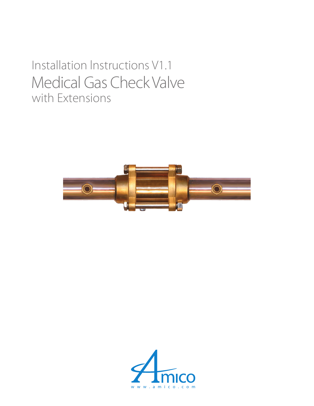## Installation lnstructions V1.1 with Extensions Medical Gas Check Valve



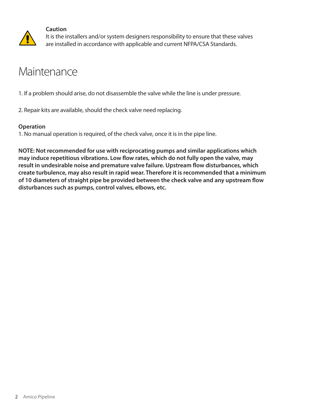

#### **Caution**

It is the installers and/or system designers responsibility to ensure that these valves are installed in accordance with applicable and current NFPA/CSA Standards.

### Maintenance

1. If a problem should arise, do not disassemble the valve while the line is under pressure.

2. Repair kits are available, should the check valve need replacing.

#### **Operation**

1. No manual operation is required, of the check valve, once it is in the pipe line.

**NOTE: Not recommended for use with reciprocating pumps and similar applications which may induce repetitious vibrations. Low flow rates, which do not fully open the valve, may result in undesirable noise and premature valve failure. Upstream flow disturbances, which create turbulence, may also result in rapid wear. Therefore it is recommended that a minimum of 10 diameters of straight pipe be provided between the check valve and any upstream flow disturbances such as pumps, control valves, elbows, etc.**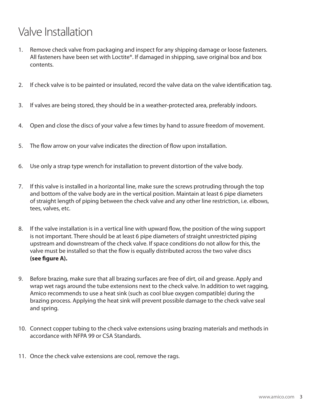## Valve Installation

- 1. Remove check valve from packaging and inspect for any shipping damage or loose fasteners. All fasteners have been set with Loctite®. If damaged in shipping, save original box and box contents.
- 2. If check valve is to be painted or insulated, record the valve data on the valve identification tag.
- 3. If valves are being stored, they should be in a weather-protected area, preferably indoors.
- 4. Open and close the discs of your valve a few times by hand to assure freedom of movement.
- 5. The flow arrow on your valve indicates the direction of flow upon installation.
- 6. Use only a strap type wrench for installation to prevent distortion of the valve body.
- 7. If this valve is installed in a horizontal line, make sure the screws protruding through the top and bottom of the valve body are in the vertical position. Maintain at least 6 pipe diameters of straight length of piping between the check valve and any other line restriction, i.e. elbows, tees, valves, etc.
- 8. If the valve installation is in a vertical line with upward flow, the position of the wing support is not important. There should be at least 6 pipe diameters of straight unrestricted piping upstream and downstream of the check valve. If space conditions do not allow for this, the valve must be installed so that the flow is equally distributed across the two valve discs **(see figure A).**
- 9. Before brazing, make sure that all brazing surfaces are free of dirt, oil and grease. Apply and wrap wet rags around the tube extensions next to the check valve. In addition to wet ragging, Amico recommends to use a heat sink (such as cool blue oxygen compatible) during the brazing process. Applying the heat sink will prevent possible damage to the check valve seal and spring.
- 10. Connect copper tubing to the check valve extensions using brazing materials and methods in accordance with NFPA 99 or CSA Standards.
- 11. Once the check valve extensions are cool, remove the rags.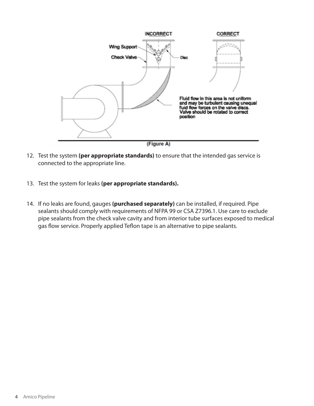

- 12. Test the system **(per appropriate standards)** to ensure that the intended gas service is connected to the appropriate line.
- 13. Test the system for leaks **(per appropriate standards).**
- 14. If no leaks are found, gauges **(purchased separately)** can be installed, if required. Pipe sealants should comply with requirements of NFPA 99 or CSA Z7396.1. Use care to exclude pipe sealants from the check valve cavity and from interior tube surfaces exposed to medical gas flow service. Properly applied Teflon tape is an alternative to pipe sealants.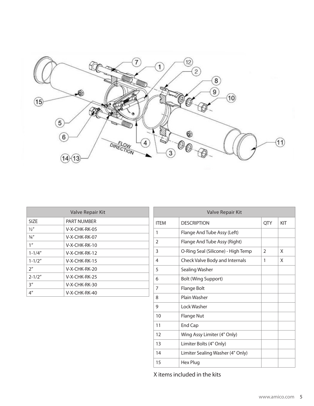

| Valve Repair Kit |                 |  |  |  |
|------------------|-----------------|--|--|--|
| SIZF             | PART NUMBER     |  |  |  |
| 1/2''            | V-X-CHK-RK-05   |  |  |  |
| 3/4''            | V-X-CHK-RK-07   |  |  |  |
| 1 <sup>''</sup>  | V-X-CHK-RK-10   |  |  |  |
| $1 - 1/4"$       | $V-X-CHK-RK-12$ |  |  |  |
| $1 - 1/2"$       | $V-X-CHK-RK-15$ |  |  |  |
| 2 <sup>''</sup>  | $V-X-CHK-RK-20$ |  |  |  |
| $2 - 1/2"$       | $V-X-CHK-RK-25$ |  |  |  |
| 3''              | V-X-CHK-RK-30   |  |  |  |
| 4 <sup>''</sup>  | $V-X-CHK-RK-40$ |  |  |  |

| Valve Repair Kit |                                    |     |     |  |  |
|------------------|------------------------------------|-----|-----|--|--|
| <b>ITEM</b>      | <b>DESCRIPTION</b>                 | QTY | KIT |  |  |
| 1                | Flange And Tube Assy (Left)        |     |     |  |  |
| 2                | Flange And Tube Assy (Right)       |     |     |  |  |
| 3                | O-Ring Seal (Silicone) - High Temp | 2   | X   |  |  |
| 4                | Check Valve Body and Internals     | 1   | X   |  |  |
| 5                | <b>Sealing Washer</b>              |     |     |  |  |
| 6                | <b>Bolt (Wing Support)</b>         |     |     |  |  |
| 7                | Flange Bolt                        |     |     |  |  |
| 8                | Plain Washer                       |     |     |  |  |
| 9                | Lock Washer                        |     |     |  |  |
| 10               | <b>Flange Nut</b>                  |     |     |  |  |
| 11               | <b>End Cap</b>                     |     |     |  |  |
| 12               | Wing Assy Limiter (4" Only)        |     |     |  |  |
| 13               | Limiter Bolts (4" Only)            |     |     |  |  |
| 14               | Limiter Sealing Washer (4" Only)   |     |     |  |  |
| 15               | Hex Plug                           |     |     |  |  |

X items included in the kits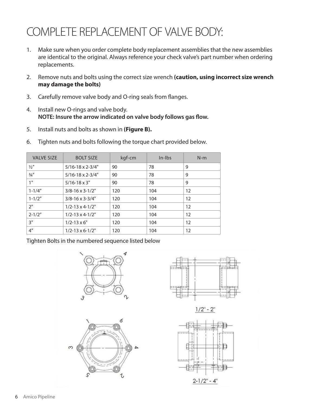## COMPLETE REPLACEMENT OF VALVE BODY:

- 1. Make sure when you order complete body replacement assemblies that the new assemblies are identical to the original. Always reference your check valve's part number when ordering replacements.
- 2. Remove nuts and bolts using the correct size wrench **(caution, using incorrect size wrench may damage the bolts)**
- 3. Carefully remove valve body and O-ring seals from flanges.
- 4. Install new O-rings and valve body. **NOTE: Insure the arrow indicated on valve body follows gas flow.**
- 5. Install nuts and bolts as shown in **(Figure B).**

| <b>VALVE SIZE</b> | <b>BOLT SIZE</b>             | kgf-cm | $In-lbs$ | $N-m$ |
|-------------------|------------------------------|--------|----------|-------|
| $\frac{1}{2}$     | $5/16 - 18 \times 2 - 3/4$ " | 90     | 78       | 9     |
| 3/4''             | $5/16 - 18 \times 2 - 3/4$ " | 90     | 78       | 9     |
| 1"                | $5/16 - 18 \times 3$ "       | 90     | 78       | 9     |
| $1 - 1/4"$        | $3/8 - 16 \times 3 - 1/2$ "  | 120    | 104      | 12    |
| $1 - 1/2"$        | $3/8 - 16 \times 3 - 3/4$ "  | 120    | 104      | 12    |
| 2"                | $1/2 - 13 \times 4 - 1/2$ "  | 120    | 104      | 12    |
| $2 - 1/2"$        | $1/2 - 13 \times 4 - 1/2$ "  | 120    | 104      | 12    |
| 3"                | $1/2 - 13 \times 6$ "        | 120    | 104      | 12    |
| 4 <sup>''</sup>   | $1/2 - 13 \times 6 - 1/2$ "  | 120    | 104      | 12    |

6. Tighten nuts and bolts following the torque chart provided below.

Tighten Bolts in the numbered sequence listed below





 $1/2" - 2"$